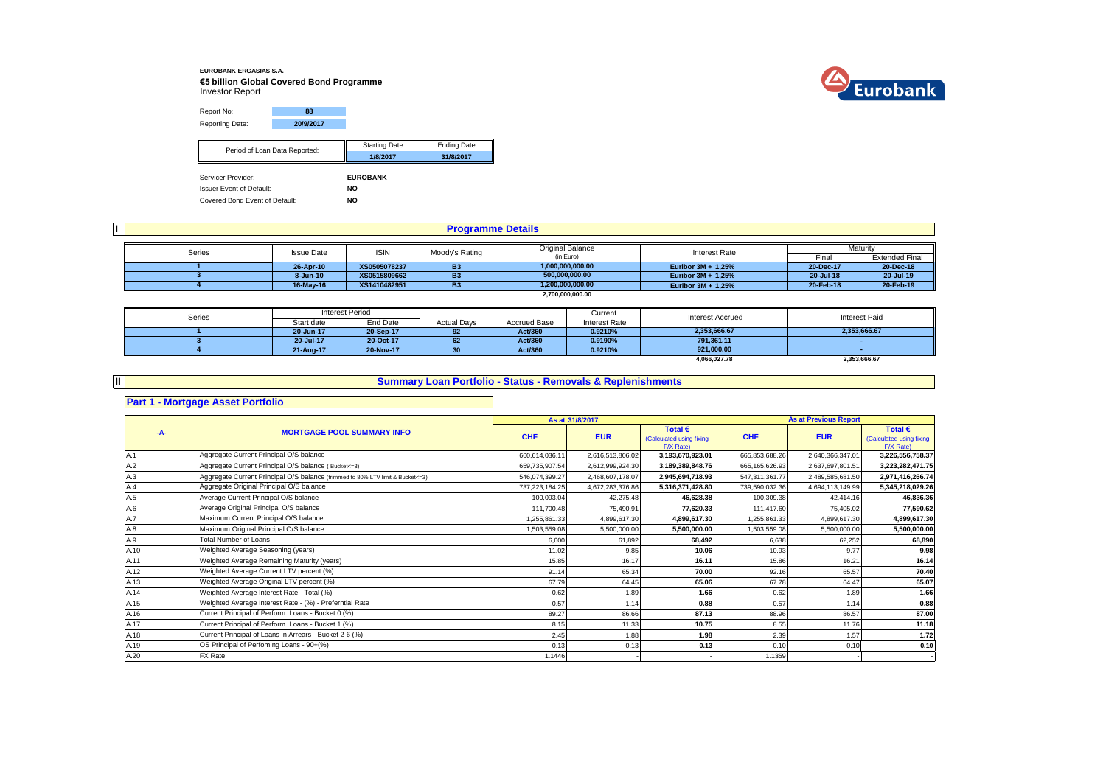## **EUROBANK ERGASIAS S.A. €5 billion Global Covered Bond Programme** Investor Report



Report No: **88** Reporting Date: **20/9/2017**

| Period of Loan Data Reported:   | <b>Starting Date</b> | <b>Ending Date</b> |
|---------------------------------|----------------------|--------------------|
|                                 | 1/8/2017             | 31/8/2017          |
| Servicer Provider:              | <b>EUROBANK</b>      |                    |
|                                 |                      |                    |
| <b>Issuer Event of Default:</b> | NO                   |                    |
| Covered Bond Event of Default:  | NO                   |                    |

|        |                   |              | <b>Programme Details</b> |                         |                      |           |                       |
|--------|-------------------|--------------|--------------------------|-------------------------|----------------------|-----------|-----------------------|
| Series | <b>Issue Date</b> | <b>ISIN</b>  | Moody's Rating           | <b>Original Balance</b> | Interest Rate        |           | Maturity              |
|        |                   |              |                          | (in Euro)               |                      | Fina      | <b>Extended Final</b> |
|        | 26-Apr-10         | XS0505078237 | <b>B3</b>                | 1,000,000,000.00        | Euribor $3M + 1,25%$ | 20-Dec-17 | 20-Dec-18             |
|        | 8-Jun-10          | XS0515809662 | <b>B3</b>                | 500.000.000.00          | Euribor $3M + 1,25%$ | 20-Jul-18 | 20 Jul-19             |
|        | 16-May-16         | XS1410482951 | <b>B3</b>                | 1,200,000,000.00        | Euribor 3M + 1.25%   | 20-Feb-18 | 20-Feb-19             |
|        |                   |              |                          | 2.700.000.000.00        |                      |           |                       |

| Series |            | Interest Period |                    |                     | Current       | <b>Interest Accrued</b> | <b>Interest Paid</b> |
|--------|------------|-----------------|--------------------|---------------------|---------------|-------------------------|----------------------|
|        | Start date | End Date        | <b>Actual Days</b> | <b>Accrued Base</b> | Interest Rate |                         |                      |
|        | 20-Jun-17  | 20-Sep-17       | 92                 | Act/360             | 0.9210%       | 2,353,666.67            | 2,353,666.67         |
|        | 20-Jul-17  | 20-Oct-17       | 62                 | Act/360             | 0.9190%       | 791.361.11              |                      |
|        | 21-Aug-17  | 20-Nov-17       |                    | Act/360             | 0.9210%       | 921.000.00              |                      |
|        |            |                 |                    |                     |               | 4,066,027.78            | 2,353,666.67         |

# **II Part 1 - Mortgage Asset Portfolio**

#### **Summary Loan Portfolio - Status - Removals & Replenishments**

|       |                                                                                  |                   | As at 31/8/2017  |                                                           |                   | <b>As at Previous Report</b> |                                                           |
|-------|----------------------------------------------------------------------------------|-------------------|------------------|-----------------------------------------------------------|-------------------|------------------------------|-----------------------------------------------------------|
| $-A-$ | <b>MORTGAGE POOL SUMMARY INFO</b>                                                | <b>CHF</b>        | <b>EUR</b>       | Total $\epsilon$<br>(Calculated using fixing<br>F/X Rate) | <b>CHF</b>        | <b>EUR</b>                   | Total $\epsilon$<br>(Calculated using fixing<br>F/X Rate) |
| A.1   | Aggregate Current Principal O/S balance                                          | 660,614,036.11    | 2,616,513,806.02 | 3,193,670,923.01                                          | 665,853,688.26    | 2,640,366,347.01             | 3,226,556,758.37                                          |
| A.2   | Aggregate Current Principal O/S balance (Bucket<=3)                              | 659,735,907.54    | 2,612,999,924.30 | 3,189,389,848.76                                          | 665, 165, 626. 93 | 2,637,697,801.51             | 3,223,282,471.75                                          |
| A.3   | Aggregate Current Principal O/S balance (trimmed to 80% LTV limit & Bucket <= 3) | 546,074,399.27    | 2,468,607,178.07 | 2,945,694,718.93                                          | 547,311,361.77    | 2,489,585,681.50             | 2,971,416,266.74                                          |
| A.4   | Aggregate Original Principal O/S balance                                         | 737, 223, 184. 25 | 4,672,283,376.86 | 5,316,371,428.80                                          | 739,590,032.36    | 4,694,113,149.99             | 5,345,218,029.26                                          |
| A.5   | Average Current Principal O/S balance                                            | 100,093.04        | 42.275.48        | 46,628.38                                                 | 100.309.38        | 42.414.16                    | 46,836.36                                                 |
| A.6   | Average Original Principal O/S balance                                           | 111,700.48        | 75.490.91        | 77,620.33                                                 | 111,417.60        | 75.405.02                    | 77,590.62                                                 |
| A.7   | Maximum Current Principal O/S balance                                            | ,255,861.33       | 4,899,617.30     | 4,899,617.30                                              | 1,255,861.33      | 4.899.617.30                 | 4,899,617.30                                              |
| A.8   | Maximum Original Principal O/S balance                                           | 1,503,559.08      | 5,500,000.00     | 5,500,000.00                                              | 1,503,559.08      | 5,500,000.00                 | 5,500,000.00                                              |
| A.9   | <b>Total Number of Loans</b>                                                     | 6.600             | 61.892           | 68.492                                                    | 6.638             | 62.252                       | 68,890                                                    |
| A.10  | Weighted Average Seasoning (years)                                               | 11.02             | 9.85             | 10.06                                                     | 10.93             | 9.77                         | 9.98                                                      |
| A.11  | Weighted Average Remaining Maturity (years)                                      | 15.85             | 16.17            | 16.11                                                     | 15.86             | 16.21                        | 16.14                                                     |
| A.12  | Weighted Average Current LTV percent (%)                                         | 91.14             | 65.34            | 70.00                                                     | 92.16             | 65.57                        | 70.40                                                     |
| A.13  | Weighted Average Original LTV percent (%)                                        | 67.79             | 64.45            | 65.06                                                     | 67.78             | 64.47                        | 65.07                                                     |
| A.14  | Weighted Average Interest Rate - Total (%)                                       | 0.62              | 1.89             | 1.66                                                      | 0.62              | 1.89                         | 1.66                                                      |
| A.15  | Weighted Average Interest Rate - (%) - Preferntial Rate                          | 0.57              | 1.14             | 0.88                                                      | 0.57              | 1.14                         | 0.88                                                      |
| A.16  | Current Principal of Perform. Loans - Bucket 0 (%)                               | 89.27             | 86.66            | 87.13                                                     | 88.96             | 86.57                        | 87.00                                                     |
| A.17  | Current Principal of Perform. Loans - Bucket 1 (%)                               | 8.15              | 11.33            | 10.75                                                     | 8.55              | 11.76                        | 11.18                                                     |
| A.18  | Current Principal of Loans in Arrears - Bucket 2-6 (%)                           | 2.45              | 1.88             | 1.98                                                      | 2.39              | 1.57                         | 1.72                                                      |
| A.19  | OS Principal of Perfoming Loans - 90+(%)                                         | 0.13              | 0.13             | 0.13                                                      | 0.10              | 0.10                         | 0.10                                                      |
| A.20  | FX Rate                                                                          | 1.1446            |                  |                                                           | 1.1359            |                              |                                                           |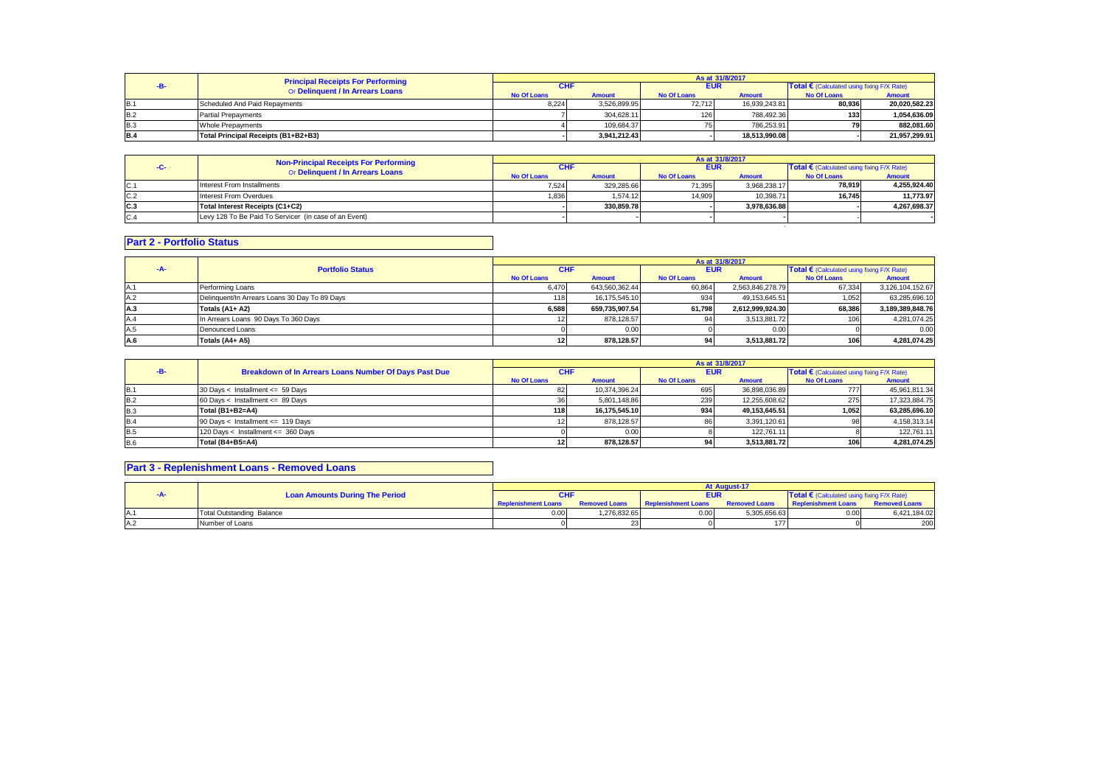|            | <b>Principal Receipts For Performing</b> | As at 31/8/2017    |               |                    |               |                                            |               |
|------------|------------------------------------------|--------------------|---------------|--------------------|---------------|--------------------------------------------|---------------|
|            | Or Delinquent / In Arrears Loans         | <b>CHF</b>         |               | <b>EUR</b>         |               | Total € (Calculated using fixing F/X Rate) |               |
|            |                                          | <b>No Of Loans</b> | <b>Amount</b> | <b>No Of Loans</b> | <b>Amount</b> | <b>No Of Loans</b>                         | Amount        |
| <b>B.1</b> | Scheduled And Paid Repayments            | 8.224              | 3.526.899.95  | 72.712             | 16.939.243.81 | 80.936                                     | 20.020.582.23 |
| <b>B.2</b> | <b>Partial Prepayments</b>               |                    | 304.628.11    | 126                | 788.492.36    | 133                                        | 1.054.636.09  |
| <b>B.3</b> | Whole Prepayments                        |                    | 109.684.37    |                    | 786.253.91    |                                            | 882.081.60    |
| <b>B.4</b> | Total Principal Receipts (B1+B2+B3)      |                    | 3.941.212.43  |                    | 18.513.990.08 |                                            | 21.957.299.91 |

|      | <b>Non-Principal Receipts For Performing</b>          |             |               |             | As at 31/8/2017 |                                            |               |
|------|-------------------------------------------------------|-------------|---------------|-------------|-----------------|--------------------------------------------|---------------|
|      | Or Delinquent / In Arrears Loans                      | <b>CHF</b>  |               | <b>EUR</b>  |                 | Total € (Calculated using fixing F/X Rate) |               |
|      |                                                       | No Of Loans | <b>Amount</b> | No Of Loans | <b>Amount</b>   | <b>No Of Loans</b>                         | <b>Amount</b> |
| C.1  | Interest From Installments                            | 7.524       | 329.285.66    | 71.395      | 3.968.238.17    | 78.919                                     | 4,255,924.40  |
| C.2  | Interest From Overdues                                | 1.836       | 1.574.12      | 14.909      | 10.398.71       | 16.745                                     | 11.773.97     |
| IC.3 | Total Interest Receipts (C1+C2)                       |             | 330.859.78    |             | 3.978.636.88    |                                            | 4.267.698.37  |
| C.4  | Levy 128 To Be Paid To Servicer (in case of an Event) |             |               |             |                 |                                            |               |
|      |                                                       |             |               |             |                 |                                            |               |

### **Part 2 - Portfolio Status**

|     |                                               | As at 31/8/2017    |                |                    |                  |                                            |                  |  |
|-----|-----------------------------------------------|--------------------|----------------|--------------------|------------------|--------------------------------------------|------------------|--|
| -A- | <b>Portfolio Status</b>                       | <b>CHF</b>         |                | <b>EUR</b>         |                  | Total € (Calculated using fixing F/X Rate) |                  |  |
|     |                                               | <b>No Of Loans</b> | <b>Amount</b>  | <b>No Of Loans</b> | <b>Amount</b>    | <b>No Of Loans</b>                         | <b>Amount</b>    |  |
| A.1 | Performing Loans                              | 6.470              | 643,560,362.44 | 60,864             | 2,563,846,278.79 | 67.334                                     | 3,126,104,152.67 |  |
| A.2 | Delinquent/In Arrears Loans 30 Day To 89 Days | 118.               | 16.175.545.10  | 934                | 49.153.645.51    | 1,052                                      | 63,285,696.10    |  |
| A.3 | Totals (A1+ A2)                               | 6,588              | 659.735.907.54 | 61.798             | 2.612.999.924.30 | 68.386                                     | 3.189.389.848.76 |  |
| A.4 | In Arrears Loans 90 Days To 360 Days          |                    | 878,128.57     |                    | 3,513,881.72     | 106                                        | 4,281,074.25     |  |
| A.5 | Denounced Loans                               |                    | 0.00           |                    | 0.00             |                                            | 0.00             |  |
| A.6 | Totals (A4+ A5)                               |                    | 878.128.57     |                    | 3,513,881.72     | 1061                                       | 4,281,074.25     |  |

|            |                                                       | As at 31/8/2017    |               |                    |               |                                            |               |  |
|------------|-------------------------------------------------------|--------------------|---------------|--------------------|---------------|--------------------------------------------|---------------|--|
|            | Breakdown of In Arrears Loans Number Of Days Past Due | CHI                |               | <b>EUR</b>         |               | Total € (Calculated using fixing F/X Rate) |               |  |
|            |                                                       | <b>No Of Loans</b> | <b>Amount</b> | <b>No Of Loans</b> | <b>Amount</b> | <b>No Of Loans</b>                         | <b>Amount</b> |  |
| B.         | 30 Days < Installment <= 59 Days                      |                    | 10.374.396.24 | 695                | 36.898.036.89 |                                            | 45,961,811.34 |  |
| <b>B.2</b> | $60$ Days < Installment <= $89$ Days                  |                    | 5.801.148.86  | 239                | 12.255.608.62 | 275                                        | 17,323,884.75 |  |
| <b>B.3</b> | Total (B1+B2=A4)                                      | 118                | 16.175.545.10 | 934                | 49.153.645.51 | 1.052.                                     | 63.285.696.10 |  |
| <b>B.4</b> | 90 Days < Installment <= 119 Days                     |                    | 878.128.57    |                    | 3.391.120.61  |                                            | 4,158,313.14  |  |
| <b>B.5</b> | 120 Days < Installment <= 360 Days                    |                    | 0.00          |                    | 122.761.11    |                                            | 122.761.11    |  |
| <b>B.6</b> | Total (B4+B5=A4)                                      | 12                 | 878.128.57    | 94                 | 3,513,881.72  | 106                                        | 4,281,074.25  |  |

### **Part 3 - Replenishment Loans - Removed Loans**

|     |                                       |                            |                      |                     | <b>At August-1</b>   |                                            |                      |
|-----|---------------------------------------|----------------------------|----------------------|---------------------|----------------------|--------------------------------------------|----------------------|
|     | <b>Loan Amounts During The Period</b> | <b>CHF</b>                 |                      | <b>EUR</b>          |                      | Total € (Calculated using fixing F/X Rate) |                      |
|     |                                       | <b>Replenishment Loans</b> | <b>Removed Loans</b> | Replenishment Loans | <b>Removed Loans</b> | <b>Replenishment Loans</b>                 | <b>Removed Loans</b> |
| IA. | <b>Total Outstanding Balance</b>      | 0.00                       | 1,276,832.65         | 0.00                | 5,305,656.63         | 0.00                                       | 6,421,184.02         |
| A.2 | Number of Loans                       |                            |                      |                     | 177                  |                                            | 200                  |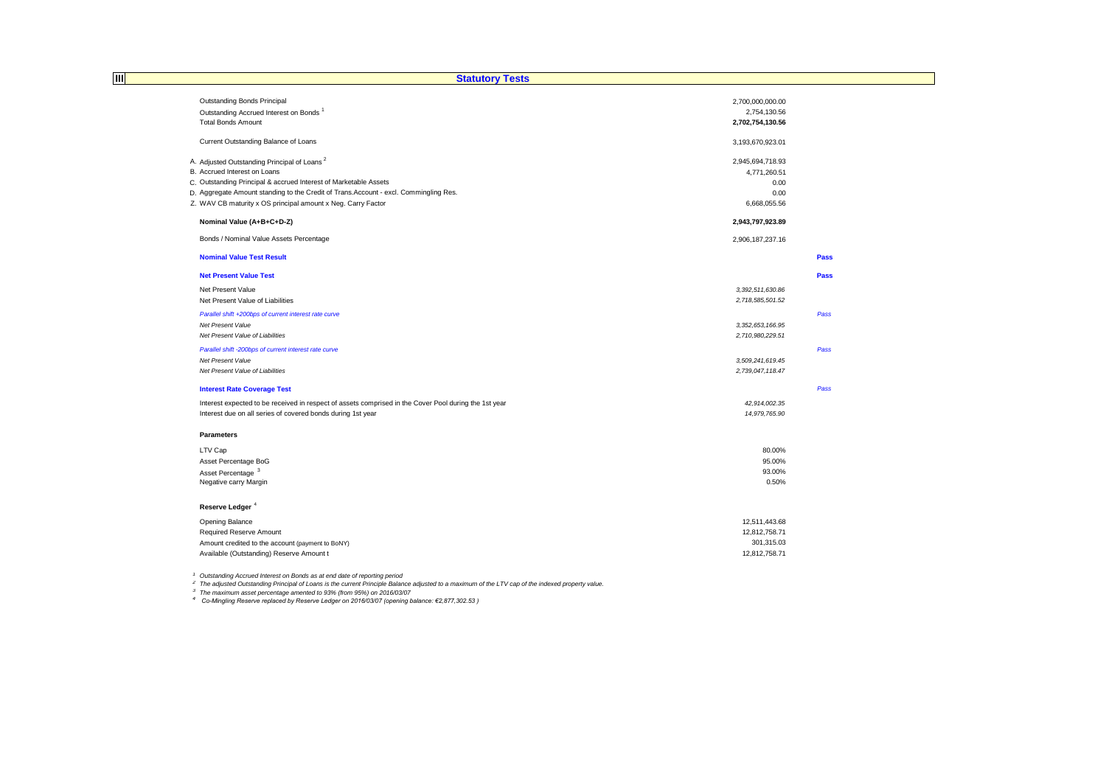| 圃<br><b>Statutory Tests</b>                                                                           |                                  |             |
|-------------------------------------------------------------------------------------------------------|----------------------------------|-------------|
|                                                                                                       |                                  |             |
| Outstanding Bonds Principal                                                                           | 2,700,000,000.00                 |             |
| Outstanding Accrued Interest on Bonds <sup>1</sup>                                                    | 2,754,130.56                     |             |
| <b>Total Bonds Amount</b>                                                                             | 2,702,754,130.56                 |             |
| Current Outstanding Balance of Loans                                                                  | 3,193,670,923.01                 |             |
|                                                                                                       |                                  |             |
| A. Adjusted Outstanding Principal of Loans <sup>2</sup><br>B. Accrued Interest on Loans               | 2,945,694,718.93<br>4,771,260.51 |             |
| C. Outstanding Principal & accrued Interest of Marketable Assets                                      | 0.00                             |             |
| D. Aggregate Amount standing to the Credit of Trans. Account - excl. Commingling Res.                 | 0.00                             |             |
| Z. WAV CB maturity x OS principal amount x Neg. Carry Factor                                          | 6,668,055.56                     |             |
| Nominal Value (A+B+C+D-Z)                                                                             | 2,943,797,923.89                 |             |
|                                                                                                       |                                  |             |
| Bonds / Nominal Value Assets Percentage                                                               | 2,906,187,237.16                 |             |
| <b>Nominal Value Test Result</b>                                                                      |                                  | Pass        |
| <b>Net Present Value Test</b>                                                                         |                                  | <b>Pass</b> |
| Net Present Value                                                                                     | 3,392,511,630.86                 |             |
| Net Present Value of Liabilities                                                                      | 2,718,585,501.52                 |             |
| Parallel shift +200bps of current interest rate curve                                                 |                                  | Pass        |
| Net Present Value                                                                                     | 3,352,653,166.95                 |             |
| Net Present Value of Liabilities                                                                      | 2,710,980,229.51                 |             |
| Parallel shift -200bps of current interest rate curve                                                 |                                  | Pass        |
| Net Present Value                                                                                     | 3,509,241,619.45                 |             |
| Net Present Value of Liabilities                                                                      | 2,739,047,118.47                 |             |
| <b>Interest Rate Coverage Test</b>                                                                    |                                  | Pass        |
| Interest expected to be received in respect of assets comprised in the Cover Pool during the 1st year | 42,914,002.35                    |             |
| Interest due on all series of covered bonds during 1st year                                           | 14,979,765.90                    |             |
| Parameters                                                                                            |                                  |             |
| LTV Cap                                                                                               | 80.00%                           |             |
| Asset Percentage BoG                                                                                  | 95.00%                           |             |
| Asset Percentage <sup>3</sup>                                                                         | 93.00%                           |             |
| Negative carry Margin                                                                                 | 0.50%                            |             |
|                                                                                                       |                                  |             |
| Reserve Ledger <sup>4</sup>                                                                           |                                  |             |
| Opening Balance                                                                                       | 12,511,443.68                    |             |
| <b>Required Reserve Amount</b>                                                                        | 12,812,758.71                    |             |
| Amount credited to the account (payment to BoNY)                                                      | 301,315.03                       |             |
| Available (Outstanding) Reserve Amount t                                                              | 12,812,758.71                    |             |

<sup>1</sup> Outstanding Accrued Interest on Bonds as at end date of reporting period<br><sup>2</sup> The adjusted Outstanding Principal of Loans is the current Principle Balance adjusted to a maximum of the LTV cap of the indexed property val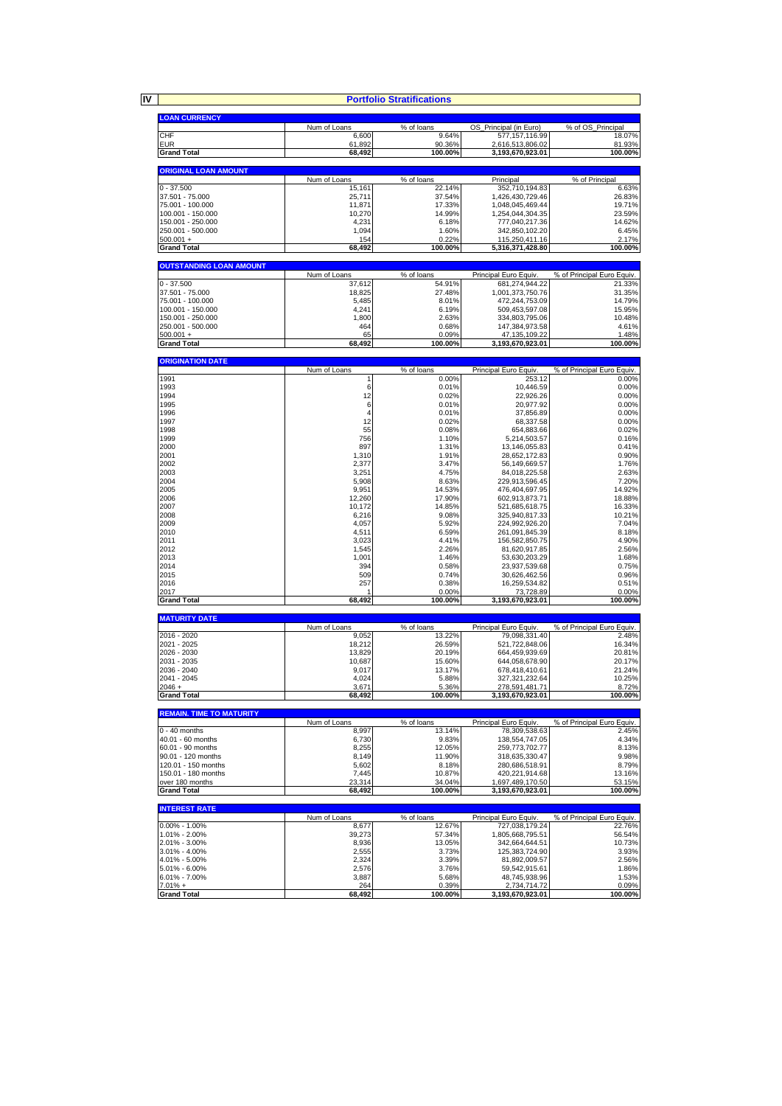|                                           |                       | <b>Portfolio Stratifications</b> |                                        |                                     |
|-------------------------------------------|-----------------------|----------------------------------|----------------------------------------|-------------------------------------|
|                                           |                       |                                  |                                        |                                     |
| <b>LOAN CURRENCY</b>                      |                       |                                  |                                        |                                     |
|                                           | Num of Loans          | % of loans                       | OS_Principal (in Euro)                 | % of OS Principal                   |
| CHF<br>EUR                                | 6,600<br>61,892       | 9.64%<br>90.36%                  | 577, 157, 116.99<br>2,616,513,806.02   | 18.07%<br>81.93%                    |
| <b>Grand Total</b>                        | 68,492                | 100.00%                          | 3,193,670,923.01                       | 100.00%                             |
|                                           |                       |                                  |                                        |                                     |
| <b>ORIGINAL LOAN AMOUNT</b>               |                       |                                  |                                        |                                     |
|                                           | Num of Loans          | % of loans                       | Principal                              | % of Principal                      |
| $0 - 37.500$                              | 15,161                | 22.14%                           | 352,710,194.83                         | 6.63%                               |
| 37.501 - 75.000<br>75.001 - 100.000       | 25,711<br>11,871      | 37.54%<br>17.33%                 | 1,426,430,729.46<br>1,048,045,469.44   | 26.83%<br>19.71%                    |
| 100.001 - 150.000                         | 10,270                | 14.99%                           | 1,254,044,304.35                       | 23.59%                              |
| 150.001 - 250.000                         | 4,231                 | 6.18%                            | 777,040,217.36                         | 14.62%                              |
| 250.001 - 500.000                         | 1,094                 | 1.60%                            | 342,850,102.20                         | 6.45%                               |
| $500.001 +$                               | 154                   | 0.22%                            | 115,250,411.16                         | 2.17%                               |
| <b>Grand Total</b>                        | 68,492                | 100.00%                          | 5,316,371,428.80                       | 100.00%                             |
| <b>OUTSTANDING LOAN AMOUNT</b>            |                       |                                  |                                        |                                     |
|                                           | Num of Loans          | % of loans                       | Principal Euro Equiv.                  | % of Principal Euro Equiv.          |
| $0 - 37.500$                              | 37,612                | 54.91%                           | 681,274,944.22                         | 21.33%                              |
| 37.501 - 75.000                           | 18,825                | 27.48%                           | 1,001,373,750.76                       | 31.35%                              |
| 75.001 - 100.000                          | 5,485                 | 8.01%                            | 472,244,753.09                         | 14.79%                              |
| 100.001 - 150.000<br>150.001 - 250.000    | 4,241<br>1,800        | 6.19%<br>2.63%                   | 509,453,597.08<br>334,803,795.06       | 15.95%<br>10.48%                    |
| 250.001 - 500.000                         | 464                   | 0.68%                            | 147,384,973.58                         | 4.61%                               |
| $500.001 +$                               | 65                    | 0.09%                            | 47,135,109.22                          | 1.48%                               |
| <b>Grand Total</b>                        | 68,492                | 100.00%                          | 3,193,670,923.01                       | 100.00%                             |
| <b>ORIGINATION DATE</b>                   |                       |                                  |                                        |                                     |
|                                           | Num of Loans          | % of loans                       | Principal Euro Equiv.                  | % of Principal Euro Equiv.          |
| 1991                                      | 1                     | 0.00%                            | 253.12                                 | 0.00%                               |
| 1993                                      | 6                     | 0.01%                            | 10,446.59                              | 0.00%                               |
| 1994                                      | 12                    | 0.02%                            | 22,926.26                              | 0.00%                               |
| 1995<br>1996                              | 6<br>4                | 0.01%<br>0.01%                   | 20,977.92<br>37,856.89                 | 0.00%<br>0.00%                      |
| 1997                                      | 12                    | 0.02%                            | 68,337.58                              | 0.00%                               |
| 1998                                      | 55                    | 0.08%                            | 654,883.66                             | 0.02%                               |
| 1999                                      | 756                   | 1.10%                            | 5,214,503.57                           | 0.16%                               |
| 2000                                      | 897                   | 1.31%                            | 13,146,055.83                          | 0.41%                               |
| 2001                                      | 1,310                 | 1.91%                            | 28,652,172.83                          | 0.90%                               |
| 2002                                      | 2,377                 | 3.47%                            | 56,149,669.57                          | 1.76%                               |
| 2003                                      | 3,251                 | 4.75%                            | 84,018,225.58                          | 2.63%                               |
| 2004<br>2005                              | 5,908<br>9,951        | 8.63%<br>14.53%                  | 229,913,596.45<br>476,404,697.95       | 7.20%<br>14.92%                     |
| 2006                                      | 12,260                | 17.90%                           | 602,913,873.71                         | 18.88%                              |
| 2007                                      | 10,172                | 14.85%                           | 521,685,618.75                         | 16.33%                              |
| 2008                                      | 6,216                 | 9.08%                            | 325,940,817.33                         | 10.21%                              |
| 2009                                      | 4,057                 | 5.92%                            | 224,992,926.20                         | 7.04%                               |
| 2010                                      | 4,511                 | 6.59%                            | 261,091,845.39                         | 8.18%                               |
| 2011<br>2012                              | 3,023<br>1,545        | 4.41%<br>2.26%                   | 156,582,850.75                         | 4.90%                               |
| 2013                                      | 1,001                 | 1.46%                            | 81,620,917.85<br>53,630,203.29         | 2.56%<br>1.68%                      |
| 2014                                      | 394                   | 0.58%                            | 23,937,539.68                          | 0.75%                               |
| 2015                                      | 509                   | 0.74%                            | 30,626,462.56                          | 0.96%                               |
| 2016                                      | 257                   | 0.38%                            | 16,259,534.82                          | 0.51%                               |
| 2017                                      |                       | 0.00%                            | 73,728.89                              | 0.00%                               |
| <b>Grand Total</b>                        | 68,492                | 100.00%                          | 3,193,670,923.01                       | 100.00%                             |
| <b>MATURITY DATE</b>                      |                       |                                  |                                        |                                     |
| 2016 - 2020                               | Num of Loans<br>9,052 | % of loans<br>13.22%             | Principal Euro Equiv.<br>79,098,331.40 | % of Principal Euro Equiv.<br>2.48% |
| 2021 - 2025                               | 18,212                | 26.59%                           | 521,722,848.06                         | 16.34%                              |
| 2026 - 2030                               | 13,829                | 20.19%                           | 664,459,939.69                         | 20.81%                              |
| 2031 - 2035                               | 10,687                | 15.60%                           | 644,058,678.90                         | 20.17%                              |
| 2036 - 2040                               | 9,017                 | 13.17%                           | 678,418,410.61                         | 21.24%                              |
| 2041 - 2045                               | 4,024                 | 5.88%                            | 327, 321, 232.64<br>278.591.481.71     | 10.25%                              |
| $2046 +$<br><b>Grand Total</b>            | 3,671<br>68,492       | 5.36%<br>100.00%                 | 3,193,670,923.01                       | 8.72%<br>100.00%                    |
|                                           |                       |                                  |                                        |                                     |
| <b>REMAIN. TIME TO MATURITY</b>           | Num of Loans          | % of loans                       | Principal Euro Equiv.                  | % of Principal Euro Equiv.          |
| $0 - 40$ months                           | 8,997                 | 13.14%                           | 78,309,538.63                          | 2.45%                               |
| 40.01 - 60 months                         | 6,730                 | 9.83%                            | 138,554,747.05                         | 4.34%                               |
| 60.01 - 90 months                         | 8,255                 | 12.05%                           | 259,773,702.77                         | 8.13%                               |
| 90.01 - 120 months<br>120.01 - 150 months | 8,149                 | 11.90%                           | 318,635,330.47<br>280,686,518.91       | 9.98%                               |
| 150.01 - 180 months                       | 5,602<br>7,445        | 8.18%<br>10.87%                  | 420,221,914.68                         | 8.79%<br>13.16%                     |
| over 180 months                           | 23,314                | 34.04%                           | 1,697,489,170.50                       | 53.15%                              |
| <b>Grand Total</b>                        | 68,492                | 100.00%                          | 3,193,670,923.01                       | 100.00%                             |
| <b>INTEREST RATE</b>                      |                       |                                  |                                        |                                     |
|                                           | Num of Loans          | $\sqrt%$ of loans                | Principal Euro Equiv.                  | % of Principal Euro Equiv.          |
| $0.00\% - 1.00\%$                         | 8,677                 | 12.67%                           | 727,038,179.24                         | 22.76%                              |
| 1.01% - 2.00%                             | 39,273                | 57.34%                           | 1,805,668,795.51                       | 56.54%                              |
| 2.01% - 3.00%<br>3.01% - 4.00%            | 8,936<br>2,555        | 13.05%<br>3.73%                  | 342,664,644.51<br>125,383,724.90       | 10.73%<br>3.93%                     |
| 4.01% - 5.00%                             | 2,324                 | 3.39%                            | 81,892,009.57                          | 2.56%                               |
| 5.01% - 6.00%                             | 2,576                 | 3.76%                            | 59,542,915.61                          | 1.86%                               |
| $6.01\% - 7.00\%$                         | 3,887                 | 5.68%                            | 48,745,938.96                          | 1.53%                               |
| $7.01% +$                                 | 264                   | 0.39%                            | 2,734,714.72                           | 0.09%                               |
| <b>Grand Total</b>                        | 68,492                | 100.00%                          | 3,193,670,923.01                       | 100.00%                             |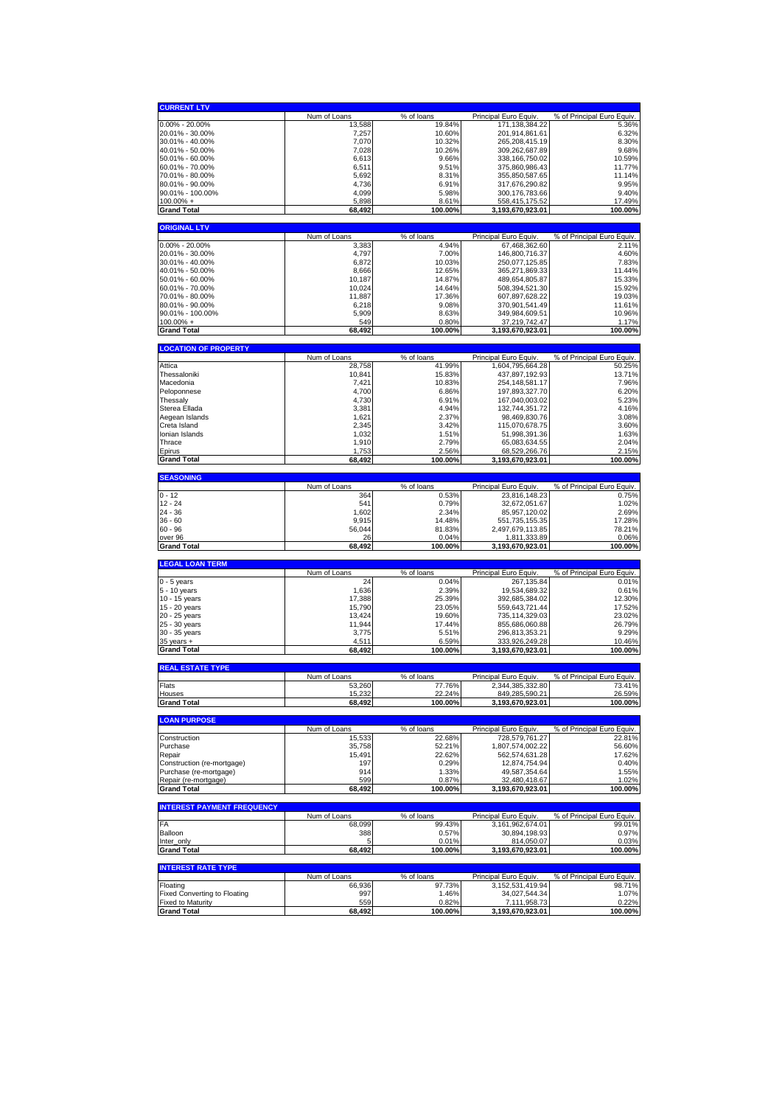| <b>CURRENT LTV</b>                             |                        |                        |                                          |                                                                                |
|------------------------------------------------|------------------------|------------------------|------------------------------------------|--------------------------------------------------------------------------------|
|                                                | Num of Loans           | % of loans             | Principal Euro Equiv                     | % of Principal Euro Equiv.                                                     |
| $0.00\% - 20.00\%$                             | 13,588                 | 19.84%                 | 171,138,384.22                           | 5.36%                                                                          |
| 20.01% - 30.00%                                | 7,257                  | 10.60%                 | 201,914,861.61                           | 6.32%                                                                          |
| 30.01% - 40.00%                                | 7,070                  | 10.32%                 | 265,208,415.19                           | 8.30%                                                                          |
| 40.01% - 50.00%                                | 7,028                  | 10.26%                 | 309,262,687.89                           | 9.68%                                                                          |
| 50.01% - 60.00%                                | 6,613                  | 9.66%                  | 338, 166, 750.02                         | 10.59%                                                                         |
| 60.01% - 70.00%                                | 6,511                  | 9.51%<br>8.31%         | 375,860,986.43<br>355,850,587.65         | 11.77%<br>11.14%                                                               |
| 70.01% - 80.00%<br>80.01% - 90.00%             | 5,692<br>4,736         | 6.91%                  | 317,676,290.82                           | 9.95%                                                                          |
| 90.01% - 100.00%                               | 4,099                  | 5.98%                  | 300, 176, 783.66                         | 9.40%                                                                          |
| $100.00\% +$                                   | 5,898                  | 8.61%                  | 558,415,175.52                           | 17.49%                                                                         |
| <b>Grand Total</b>                             | 68,492                 | 100.00%                | 3,193,670,923.01                         | 100.00%                                                                        |
|                                                |                        |                        |                                          |                                                                                |
| <b>ORIGINAL LTV</b>                            |                        |                        |                                          |                                                                                |
|                                                | Num of Loans           | % of loans             | Principal Euro Equiv.                    | % of Principal Euro Equiv.                                                     |
| $0.00\% - 20.00\%$<br>20.01% - 30.00%          | 3,383<br>4,797         | 4.94%<br>7.00%         | 67,468,362.60                            | 2.11%<br>4.60%                                                                 |
| 30.01% - 40.00%                                | 6,872                  | 10.03%                 | 146,800,716.37<br>250,077,125.85         | 7.83%                                                                          |
| 40.01% - 50.00%                                | 8,666                  | 12.65%                 | 365,271,869.33                           | 11.44%                                                                         |
| 50.01% - 60.00%                                | 10,187                 | 14.87%                 | 489,654,805.87                           | 15.33%                                                                         |
| 60.01% - 70.00%                                | 10,024                 | 14.64%                 | 508,394,521.30                           | 15.92%                                                                         |
| 70.01% - 80.00%                                | 11,887                 | 17.36%                 | 607,897,628.22                           | 19.03%                                                                         |
| 80.01% - 90.00%                                | 6,218                  | 9.08%                  | 370,901,541.49                           | 11.61%                                                                         |
| 90.01% - 100.00%                               | 5,909                  | 8.63%                  | 349,984,609.51                           | 10.96%                                                                         |
| $100.00\% +$                                   | 549                    | 0.80%                  | 37,219,742.47                            | 1.17%                                                                          |
| <b>Grand Total</b>                             | 68,492                 | 100.00%                | 3,193,670,923.01                         | 100.00%                                                                        |
| <b>LOCATION OF PROPERTY</b>                    |                        |                        |                                          |                                                                                |
|                                                | Num of Loans           | % of loans             | Principal Euro Equiv.                    | % of Principal Euro Equiv.                                                     |
| Attica                                         | 28,758                 | 41.99%                 | 1,604,795,664.28                         | 50.25%                                                                         |
| Thessaloniki                                   | 10,841                 | 15.83%                 | 437,897,192.93                           | 13.71%                                                                         |
| Macedonia                                      | 7,421                  | 10.83%                 | 254, 148, 581. 17                        | 7.96%                                                                          |
| Peloponnese                                    | 4,700                  | 6.86%                  | 197,893,327.70                           | 6.20%                                                                          |
| Thessaly                                       | 4,730                  | 6.91%                  | 167,040,003.02                           | 5.23%                                                                          |
| Sterea Ellada<br>Aegean Islands                | 3,381                  | 4.94%                  | 132,744,351.72                           | 4.16%                                                                          |
| Creta Island                                   | 1,621<br>2,345         | 2.37%<br>3.42%         | 98,469,830.76<br>115,070,678.75          | 3.08%<br>3.60%                                                                 |
| Ionian Islands                                 | 1,032                  | 1.51%                  | 51,998,391.36                            | 1.63%                                                                          |
| Thrace                                         | 1,910                  | 2.79%                  | 65,083,634.55                            | 2.04%                                                                          |
| Epirus                                         | 1,753                  | 2.56%                  | 68,529,266.76                            | 2.15%                                                                          |
| <b>Grand Total</b>                             | 68,492                 | 100.00%                | 3,193,670,923.01                         | 100.00%                                                                        |
|                                                |                        |                        |                                          |                                                                                |
| <b>SEASONING</b>                               | Num of Loans           | % of loans             | Principal Euro Equiv                     | % of Principal Euro Equiv.                                                     |
| $0 - 12$                                       | 364                    | 0.53%                  | 23,816,148.23                            | 0.75%                                                                          |
|                                                |                        |                        |                                          |                                                                                |
| $12 - 24$                                      | 541                    |                        |                                          |                                                                                |
| $24 - 36$                                      | 1,602                  | 0.79%<br>2.34%         | 32,672,051.67<br>85,957,120.02           | 1.02%<br>2.69%                                                                 |
| $36 - 60$                                      | 9,915                  | 14.48%                 | 551,735,155.35                           | 17.28%                                                                         |
| $60 - 96$                                      | 56,044                 | 81.83%                 | 2,497,679,113.85                         | 78.21%                                                                         |
| over 96                                        | 26                     | 0.04%                  | 1,811,333.89                             | 0.06%                                                                          |
| <b>Grand Total</b>                             | 68,492                 | 100.00%                | 3,193,670,923.01                         |                                                                                |
| <b>LEGAL LOAN TERM</b>                         |                        |                        |                                          | 100.00%                                                                        |
|                                                | Num of Loans           | % of loans             | Principal Euro Equiv                     | % of Principal Euro Equiv.                                                     |
| $0 - 5$ years                                  | 24                     | 0.04%                  | 267,135.84                               | 0.01%                                                                          |
| 5 - 10 years                                   | 1,636                  | 2.39%                  | 19,534,689.32                            | 0.61%                                                                          |
| 10 - 15 years                                  | 17,388                 | 25.39%                 | 392,685,384.02                           | 12.30%                                                                         |
| 15 - 20 years                                  | 15,790                 | 23.05%                 | 559,643,721.44                           | 17.52%                                                                         |
| 20 - 25 years                                  | 13,424                 | 19.60%                 | 735, 114, 329.03                         | 23.02%                                                                         |
| 25 - 30 years                                  | 11,944                 | 17.44%                 | 855,686,060.88                           | 26.79%                                                                         |
| 30 - 35 years<br>35 years +                    | 3,775<br>4,511         | 5.51%<br>6.59%         | 296,813,353.21<br>333,926,249.28         | 9.29%<br>10.46%                                                                |
| <b>Grand Total</b>                             | 68,492                 | 100.00%                | 3,193,670,923.01                         |                                                                                |
|                                                |                        |                        |                                          |                                                                                |
| <b>REAL ESTATE TYPE</b>                        | Num of Loans           | % of loans             | Principal Euro Equiv.                    | % of Principal Euro Equiv.                                                     |
| Flats                                          | 53,260                 | 77.76%                 | 2,344,385,332.80                         |                                                                                |
| Houses                                         | 15,232                 | 22.24%                 | 849,285,590.21                           |                                                                                |
| <b>Grand Total</b>                             | 68,492                 | 100.00%                | 3,193,670,923.01                         |                                                                                |
| <b>LOAN PURPOSE</b>                            |                        |                        |                                          |                                                                                |
|                                                | Num of Loans           | % of loans             | Principal Euro Equiv.                    |                                                                                |
| Construction                                   | 15,533                 | 22.68%                 | 728,579,761.27                           | 100.00%<br>73.41%<br>26.59%<br>100.00%<br>% of Principal Euro Equiv.<br>22.81% |
| Purchase                                       | 35,758                 | 52.21%                 | 1,807,574,002.22                         | 56.60%                                                                         |
| Repair                                         | 15,491                 | 22.62%                 | 562,574,631.28                           | 17.62%                                                                         |
| Construction (re-mortgage)                     | 197                    | 0.29%                  | 12,874,754.94                            | 0.40%                                                                          |
| Purchase (re-mortgage)                         | 914                    | 1.33%                  | 49,587,354.64                            | 1.55%                                                                          |
| Repair (re-mortgage)<br><b>Grand Total</b>     | 599<br>68,492          | 0.87%<br>100.00%       | 32,480,418.67<br>3,193,670,923.01        | 1.02%                                                                          |
|                                                |                        |                        |                                          | 100.00%                                                                        |
| <b>INTEREST PAYMENT FREQUENCY</b>              |                        |                        |                                          |                                                                                |
|                                                | Num of Loans           | % of loans             | Principal Euro Equiv.                    | % of Principal Euro Equiv.                                                     |
| <b>FA</b><br>Balloon                           | 68.099                 | 99.43%                 | 3,161,962,674.01                         | 99.01%                                                                         |
| Inter only                                     | 388<br>5               | 0.57%<br>0.01%         | 30,894,198.93<br>814,050.07              | 0.97%<br>0.03%                                                                 |
| <b>Grand Total</b>                             | 68,492                 | 100.00%                | 3,193,670,923.01                         | 100.00%                                                                        |
|                                                |                        |                        |                                          |                                                                                |
| <b>INTEREST RATE TYPE</b>                      |                        |                        |                                          |                                                                                |
| Floating                                       | Num of Loans<br>66,936 | $%$ of loans<br>97.73% | Principal Euro Equiv<br>3,152,531,419.94 | % of Principal Euro Equiv.<br>98.71%                                           |
| <b>Fixed Converting to Floating</b>            | 997                    | 1.46%                  | 34,027,544.34                            | 1.07%                                                                          |
| <b>Fixed to Maturity</b><br><b>Grand Total</b> | 559<br>68,492          | 0.82%<br>100.00%       | 7,111,958.73<br>3,193,670,923.01         | 0.22%<br>100.00%                                                               |